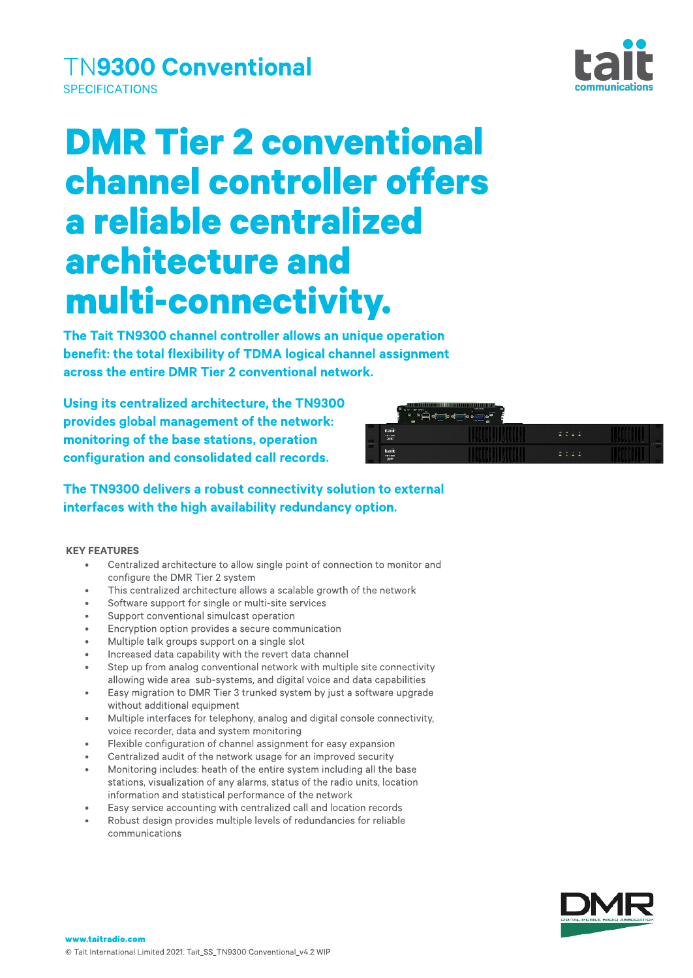# **DMR Tier 2 conventional** channel controller offers a reliable centralized architecture and multi-connectivity.

The Tait TN9300 channel controller allows an unique operation benefit: the total flexibility of TDMA logical channel assignment across the entire DMR Tier 2 conventional network.

Using its centralized architecture, the TN9300 provides global management of the network: monitoring of the base stations, operation configuration and consolidated call records.

### The TN9300 delivers a robust connectivity solution to external interfaces with the high availability redundancy option.

#### **KEY FEATURES**

- Centralized architecture to allow single point of connection to monitor and configure the DMR Tier 2 system
- This centralized architecture allows a scalable growth of the network
- Software support for single or multi-site services
- Support conventional simulcast operation
- Encryption option provides a secure communication
- Multiple talk groups support on a single slot
- Increased data capability with the revert data channel
- Step up from analog conventional network with multiple site connectivity allowing wide area sub-systems, and digital voice and data capabilities
- Easy migration to DMR Tier 3 trunked system by just a software upgrade without additional equipment
- $\bullet$  Multiple interfaces for telephony, analog and digital console connectivity, voice recorder, data and system monitoring
- Flexible configuration of channel assignment for easy expansion
- Centralized audit of the network usage for an improved security
- Monitoring includes: heath of the entire system including all the base stations, visualization of any alarms, status of the radio units, location information and statistical performance of the network
- Easy service accounting with centralized call and location records
- Robust design provides multiple levels of redundancies for reliable communications







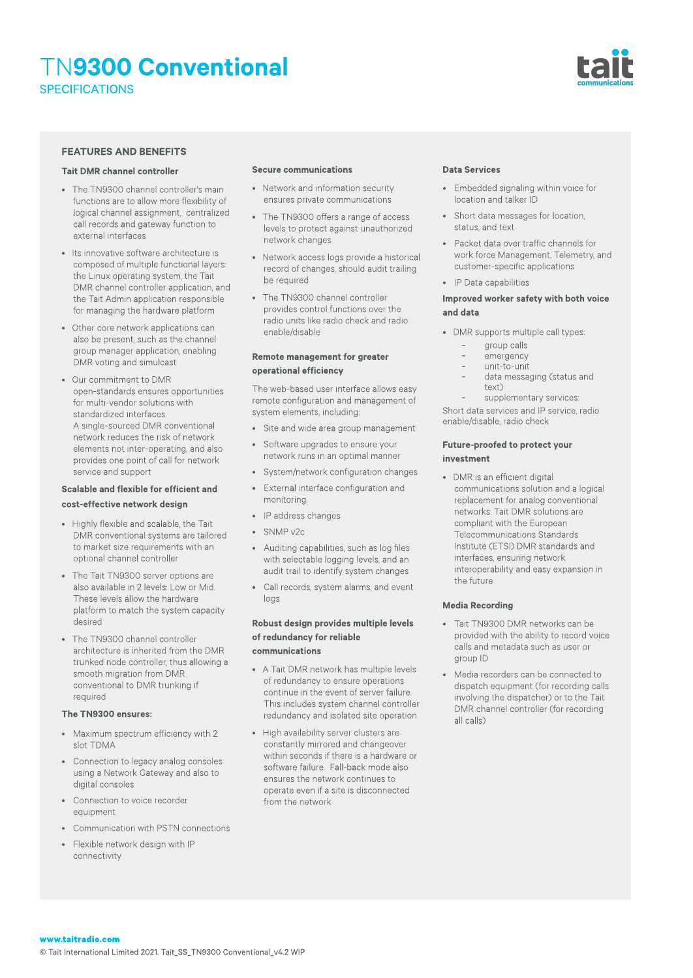

#### **FEATURES AND BENEFITS**

#### Tait DMRchannel controller

- The TN9300 channel controller's main functions are to allow more flexibility of logical channel assignment, centralized call records and gateway function to external interfaces
- Its innovative software architecture is composed of multiple functional layers: the Linux operating system, the Tait DMR channel controller application, and the Tait Admin application responsible for managing the hardware platform
- Other core network applications can also be present, such as the channel group manager application,enabling DMRvoting and simulcast
- Our commitment toDMR open-standards ensures opportunities for multi-vendor solutions with standardized interfaces. A single-sourced DMR conventional network reduces the risk of network elements not inter-operating, and also provides one point of call for network service and support

#### Scalable and flexible for efficient and cost-effective network design

- Highly flexible and scalable, the Tait DMR conventional systems are tailored to market size requirements with an optional channel controller
- The Tait TN9300 server options are also available in 2 levels: Low or Mid. These levels allow the hardware platform to match the system capacity desired
- The TN9300 channel controller architecture is inherited from the DMR trunked node controller, thus allowing a smooth migration fromDMR conventional to DMR trunking if required

#### The TN9300 ensures:

- Maximum spectrum efficiency with 2 slot TDMA
- Connection to legacy analog consoles using a Network Gateway and also to digital consoles
- Connection to voice recorder equipment
- Communication with PSTN connections
- Flexible network design with IP connectivity

#### Secure communications

- Network and information security ensures private communications
- The TN9300 offers a range of access levels to protect against unauthorized network changes
- Network access logs provide a historical record of changes, should audit trailing be required
- The TN9300 channel controller provides control functions over the radio units like radio check and radio enable/disable

#### Remote management for greater operational efficiency

The web-based user interface allows easy remote configuration and management of system elements, including:

- Site and wide area group management
- Software upgrades to ensure your network runs in an optimal manner
- System/network configuration changes
- External interface configuration and monitoring
- IP address changes
- SNMPv2c
- Auditing capabilities, such as log files with selectable logging levels, and an audit trail to identify system changes
- Call records, system alarms, and event logs

#### Robust design provides multiplelevels of redundancy for reliable communications

- A Tait DMR network has multiple levels of redundancy to ensure operations continue in the event of server failure. This includes system channel controller redundancy and isolated site operation
- High availability server clusters are constantly mirrored and changeover within seconds if there is a hardware or software failure. Fall-back mode also ensures the network continues to operate even if a site is disconnected from the network

#### **Data Services**

- Embedded signaling within voice for location and talker ID
- Short data messages for location, status, and text
- Packet data over traffic channels for work force Management, Telemetry, and customer-specific applications
- IP Data capabilities

#### Improved worker safety with both voice and data

- DMR supports multiple call types:
	- group calls
	- emergency
	- unit-to-unit
	- data messaging (status and text)
	- supplementary services:

Short data services and IP service, radio enable/disable, radio check

#### Future-proofed to protect your investment

• DMR is an efficient digital communications solution and a logical replacement for analog conventional networks. Tait DMR solutions are compliant with the European Telecommunications Standards Institute (ETSI) DMR standards and interfaces, ensuring network interoperability and easy expansion in the future

#### **Media Recording**

- Tait TN9300 DMR networks can be provided with the ability to record voice calls and metadata such as user or group ID
- Media recorders can be connected to dispatch equipment (for recording calls involving the dispatcher) or to the Tait DMRchannel controller (for recording all calls)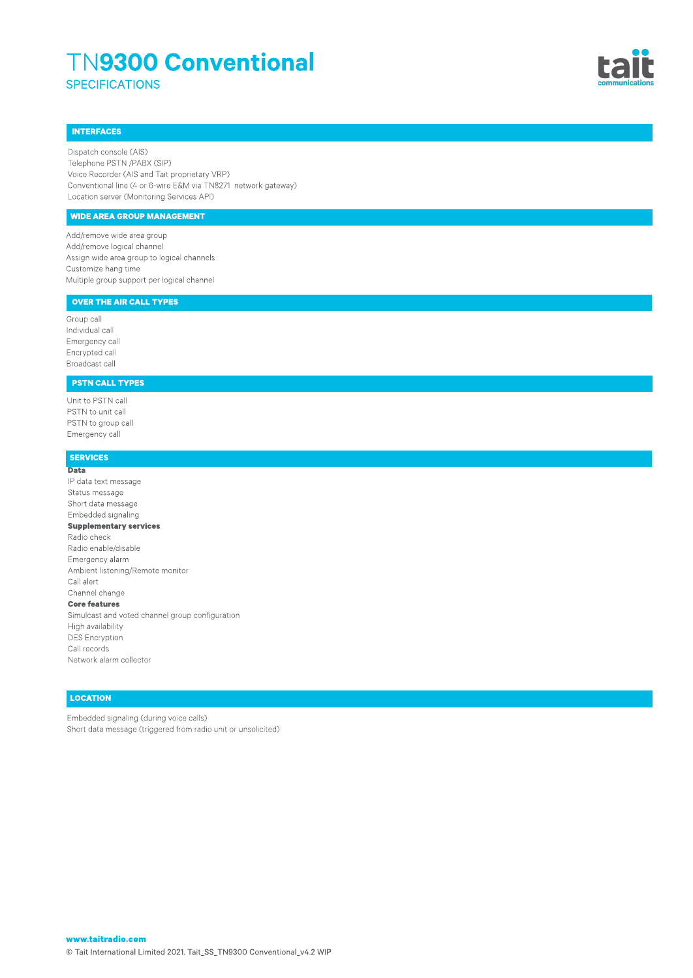

#### INTERFACES

Dispatch console(AIS) Telephone PSTN /PABX (SIP) Voice Recorder (AIS and Tait proprietary VRP) Conventional line (4 or 6-wire E&M via TN8271 network gateway) Location server (Monitoring Services API)

#### WIDE AREA GROUP MANAGEMENT

Add/remove wide area group Add/remove logical channel Assign wide area group to logical channels Customize hang time Multiplegroup support per logical channel

#### OVER THE AIR CALL TYPES

Group call Individual call Emergency call Encrypted call Broadcast call

#### PSTN CALL TYPES

Unit to PSTN call PSTN to unit call PSTN to group call Emergency call

#### SERVICES

**Data** IP data text message Status message Short data message Embedded signaling Supplementary services Radio check Radio enable/disable Emergency alarm Ambient listening/Remote monitor Call alert Channel change **Core features** Simulcast and voted channel group configuration High availability DES Encryption Call records Network alarm collector

#### **LOCATION**

Embedded signaling (during voice calls) Short data message (triggered from radio unit or unsolicited)